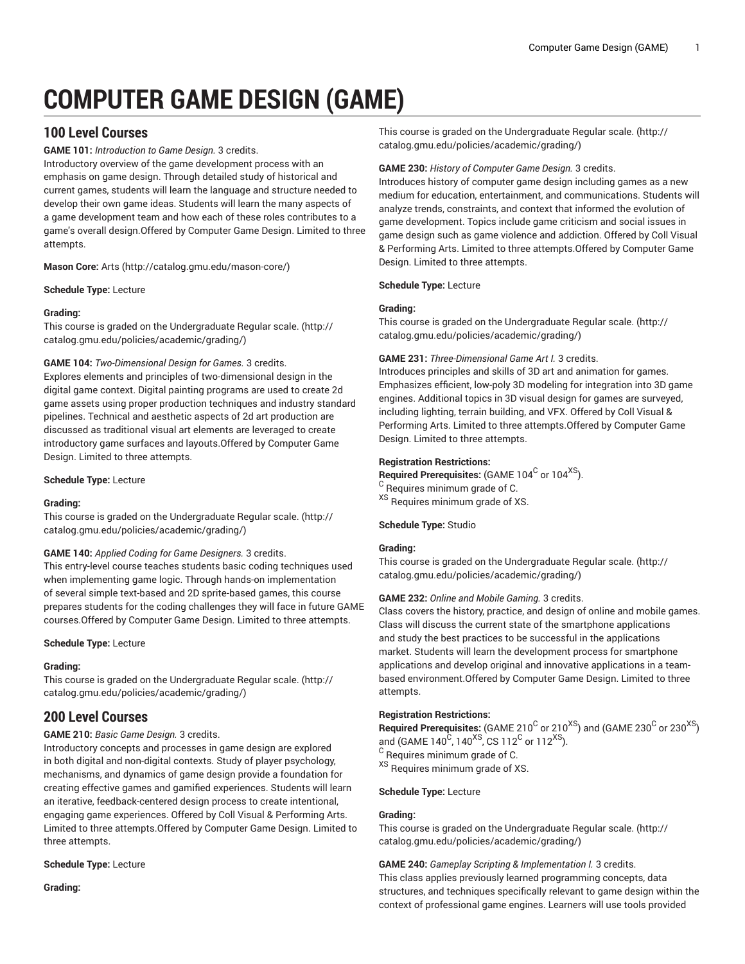# **COMPUTER GAME DESIGN (GAME)**

# **100 Level Courses**

**GAME 101:** *Introduction to Game Design.* 3 credits.

Introductory overview of the game development process with an emphasis on game design. Through detailed study of historical and current games, students will learn the language and structure needed to develop their own game ideas. Students will learn the many aspects of a game development team and how each of these roles contributes to a game's overall design.Offered by Computer Game Design. Limited to three attempts.

**Mason Core:** [Arts](http://catalog.gmu.edu/mason-core/) ([http://catalog.gmu.edu/mason-core/\)](http://catalog.gmu.edu/mason-core/)

**Schedule Type:** Lecture

# **Grading:**

This course is graded on the [Undergraduate](http://catalog.gmu.edu/policies/academic/grading/) Regular scale. ([http://](http://catalog.gmu.edu/policies/academic/grading/) [catalog.gmu.edu/policies/academic/grading/\)](http://catalog.gmu.edu/policies/academic/grading/)

# **GAME 104:** *Two-Dimensional Design for Games.* 3 credits.

Explores elements and principles of two-dimensional design in the digital game context. Digital painting programs are used to create 2d game assets using proper production techniques and industry standard pipelines. Technical and aesthetic aspects of 2d art production are discussed as traditional visual art elements are leveraged to create introductory game surfaces and layouts.Offered by Computer Game Design. Limited to three attempts.

# **Schedule Type:** Lecture

# **Grading:**

This course is graded on the [Undergraduate](http://catalog.gmu.edu/policies/academic/grading/) Regular scale. ([http://](http://catalog.gmu.edu/policies/academic/grading/) [catalog.gmu.edu/policies/academic/grading/\)](http://catalog.gmu.edu/policies/academic/grading/)

# **GAME 140:** *Applied Coding for Game Designers.* 3 credits.

This entry-level course teaches students basic coding techniques used when implementing game logic. Through hands-on implementation of several simple text-based and 2D sprite-based games, this course prepares students for the coding challenges they will face in future GAME courses.Offered by Computer Game Design. Limited to three attempts.

# **Schedule Type:** Lecture

# **Grading:**

This course is graded on the [Undergraduate](http://catalog.gmu.edu/policies/academic/grading/) Regular scale. ([http://](http://catalog.gmu.edu/policies/academic/grading/) [catalog.gmu.edu/policies/academic/grading/\)](http://catalog.gmu.edu/policies/academic/grading/)

# **200 Level Courses**

# **GAME 210:** *Basic Game Design.* 3 credits.

Introductory concepts and processes in game design are explored in both digital and non-digital contexts. Study of player psychology, mechanisms, and dynamics of game design provide a foundation for creating effective games and gamified experiences. Students will learn an iterative, feedback-centered design process to create intentional, engaging game experiences. Offered by Coll Visual & Performing Arts. Limited to three attempts.Offered by Computer Game Design. Limited to three attempts.

# **Schedule Type:** Lecture

**Grading:**

This course is graded on the [Undergraduate](http://catalog.gmu.edu/policies/academic/grading/) Regular scale. ([http://](http://catalog.gmu.edu/policies/academic/grading/) [catalog.gmu.edu/policies/academic/grading/](http://catalog.gmu.edu/policies/academic/grading/))

# **GAME 230:** *History of Computer Game Design.* 3 credits.

Introduces history of computer game design including games as a new medium for education, entertainment, and communications. Students will analyze trends, constraints, and context that informed the evolution of game development. Topics include game criticism and social issues in game design such as game violence and addiction. Offered by Coll Visual & Performing Arts. Limited to three attempts.Offered by Computer Game Design. Limited to three attempts.

# **Schedule Type:** Lecture

# **Grading:**

This course is graded on the [Undergraduate](http://catalog.gmu.edu/policies/academic/grading/) Regular scale. ([http://](http://catalog.gmu.edu/policies/academic/grading/) [catalog.gmu.edu/policies/academic/grading/](http://catalog.gmu.edu/policies/academic/grading/))

# **GAME 231:** *Three-Dimensional Game Art I.* 3 credits.

Introduces principles and skills of 3D art and animation for games. Emphasizes efficient, low-poly 3D modeling for integration into 3D game engines. Additional topics in 3D visual design for games are surveyed, including lighting, terrain building, and VFX. Offered by Coll Visual & Performing Arts. Limited to three attempts.Offered by Computer Game Design. Limited to three attempts.

# **Registration Restrictions:**

- $\boldsymbol{\mathsf{Required} }$  Prerequisites: (GAME 104 $^{\text{C}}$  or 104 $^{\text{XS}}$ ).
- <sup>C</sup> Requires minimum grade of C.
- XS Requires minimum grade of XS.

# **Schedule Type:** Studio

# **Grading:**

This course is graded on the [Undergraduate](http://catalog.gmu.edu/policies/academic/grading/) Regular scale. ([http://](http://catalog.gmu.edu/policies/academic/grading/) [catalog.gmu.edu/policies/academic/grading/](http://catalog.gmu.edu/policies/academic/grading/))

# **GAME 232:** *Online and Mobile Gaming.* 3 credits.

Class covers the history, practice, and design of online and mobile games. Class will discuss the current state of the smartphone applications and study the best practices to be successful in the applications market. Students will learn the development process for smartphone applications and develop original and innovative applications in a teambased environment.Offered by Computer Game Design. Limited to three attempts.

# **Registration Restrictions:**

 $\,$  Required Prerequisites: (GAME 210 $^{\rm C}$  or 210 $^{\rm XS}$ ) and (GAME 230 $^{\rm C}$  or 230 $^{\rm XS}$ ) and (GAME 140<sup>C</sup>, 140<sup>XS</sup>, CS 112<sup>C</sup> or 112<sup>XS</sup>).  $^{\rm C}$  Requires minimum grade of C. <sup>XS</sup> Requires minimum grade of XS.

# **Schedule Type:** Lecture

# **Grading:**

This course is graded on the [Undergraduate](http://catalog.gmu.edu/policies/academic/grading/) Regular scale. ([http://](http://catalog.gmu.edu/policies/academic/grading/) [catalog.gmu.edu/policies/academic/grading/](http://catalog.gmu.edu/policies/academic/grading/))

**GAME 240:** *Gameplay Scripting & Implementation I.* 3 credits. This class applies previously learned programming concepts, data structures, and techniques specifically relevant to game design within the context of professional game engines. Learners will use tools provided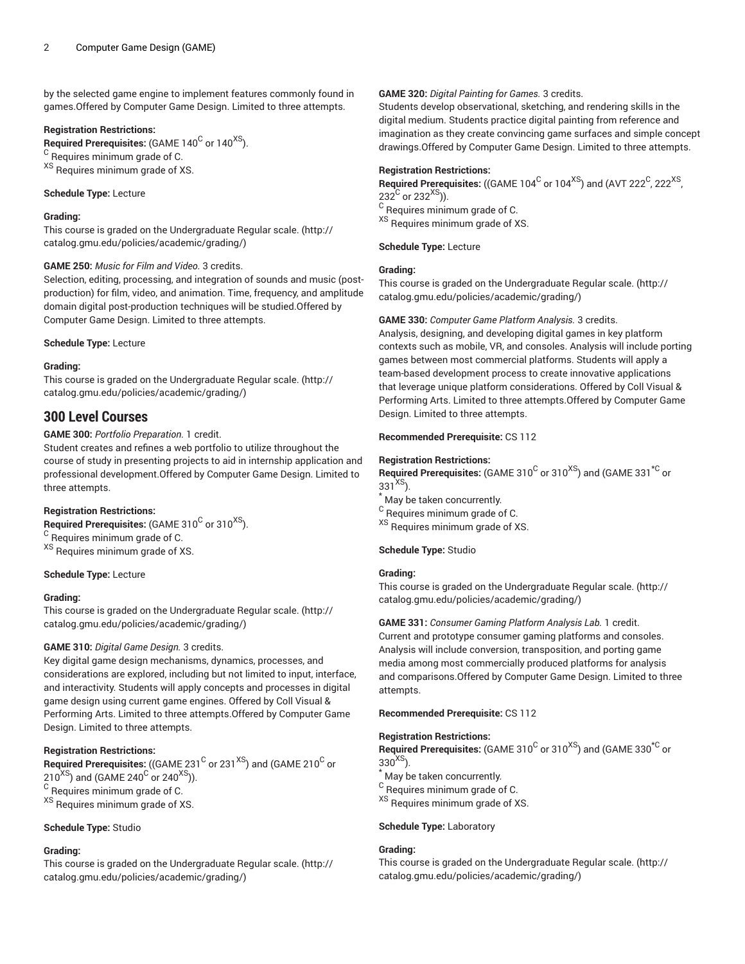by the selected game engine to implement features commonly found in games.Offered by Computer Game Design. Limited to three attempts.

# **Registration Restrictions:**

 $\boldsymbol{\mathsf{Required} }$  Prerequisites: (GAME 140 $^{\text{C}}$  or 140 $^{\text{XS}}$ ). <sup>C</sup> Requires minimum grade of C. XS Requires minimum grade of XS.

# **Schedule Type:** Lecture

# **Grading:**

This course is graded on the [Undergraduate](http://catalog.gmu.edu/policies/academic/grading/) Regular scale. ([http://](http://catalog.gmu.edu/policies/academic/grading/) [catalog.gmu.edu/policies/academic/grading/\)](http://catalog.gmu.edu/policies/academic/grading/)

# **GAME 250:** *Music for Film and Video.* 3 credits.

Selection, editing, processing, and integration of sounds and music (postproduction) for film, video, and animation. Time, frequency, and amplitude domain digital post-production techniques will be studied.Offered by Computer Game Design. Limited to three attempts.

# **Schedule Type:** Lecture

# **Grading:**

This course is graded on the [Undergraduate](http://catalog.gmu.edu/policies/academic/grading/) Regular scale. ([http://](http://catalog.gmu.edu/policies/academic/grading/) [catalog.gmu.edu/policies/academic/grading/\)](http://catalog.gmu.edu/policies/academic/grading/)

# **300 Level Courses**

**GAME 300:** *Portfolio Preparation.* 1 credit.

Student creates and refines a web portfolio to utilize throughout the course of study in presenting projects to aid in internship application and professional development.Offered by Computer Game Design. Limited to three attempts.

# **Registration Restrictions:**

 $\bm{\mathsf{Required} }$  Prerequisites: (GAME 310 $^{\bm{\mathsf{C}}}$  or 310 $^{\bm{\mathsf{XS}}}$ ). <sup>C</sup> Requires minimum grade of C.

XS Requires minimum grade of XS.

**Schedule Type:** Lecture

# **Grading:**

This course is graded on the [Undergraduate](http://catalog.gmu.edu/policies/academic/grading/) Regular scale. ([http://](http://catalog.gmu.edu/policies/academic/grading/) [catalog.gmu.edu/policies/academic/grading/\)](http://catalog.gmu.edu/policies/academic/grading/)

# **GAME 310:** *Digital Game Design.* 3 credits.

Key digital game design mechanisms, dynamics, processes, and considerations are explored, including but not limited to input, interface, and interactivity. Students will apply concepts and processes in digital game design using current game engines. Offered by Coll Visual & Performing Arts. Limited to three attempts.Offered by Computer Game Design. Limited to three attempts.

# **Registration Restrictions:**

 $\bf{Required\ Pre requires:}$  ((GAME 231  $^{\rm C}$  or 231  $^{\rm XS}$ ) and (GAME 210  $^{\rm C}$  or 210 $^{\rm XS}$ ) and (GAME 240 $^{\rm C}$  or 240 $^{\rm XS}$ )).

 $^{\rm C}$  Requires minimum grade of C.

XS Requires minimum grade of XS.

# **Schedule Type:** Studio

# **Grading:**

This course is graded on the [Undergraduate](http://catalog.gmu.edu/policies/academic/grading/) Regular scale. ([http://](http://catalog.gmu.edu/policies/academic/grading/) [catalog.gmu.edu/policies/academic/grading/\)](http://catalog.gmu.edu/policies/academic/grading/)

# **GAME 320:** *Digital Painting for Games.* 3 credits.

Students develop observational, sketching, and rendering skills in the digital medium. Students practice digital painting from reference and imagination as they create convincing game surfaces and simple concept drawings.Offered by Computer Game Design. Limited to three attempts.

# **Registration Restrictions:**

 $\,$  Required Prerequisites: ((GAME 104 $^{\rm C}$  or 104 $^{\rm XS}$ ) and (AVT 222 $^{\rm C}$ , 222 $^{\rm XS}$ , 232<sup>C</sup> or 232<sup>XS</sup>)).  $^{\rm C}$  Requires minimum grade of C. XS Requires minimum grade of XS.

**Schedule Type:** Lecture

# **Grading:**

This course is graded on the [Undergraduate](http://catalog.gmu.edu/policies/academic/grading/) Regular scale. ([http://](http://catalog.gmu.edu/policies/academic/grading/) [catalog.gmu.edu/policies/academic/grading/](http://catalog.gmu.edu/policies/academic/grading/))

# **GAME 330:** *Computer Game Platform Analysis.* 3 credits.

Analysis, designing, and developing digital games in key platform contexts such as mobile, VR, and consoles. Analysis will include porting games between most commercial platforms. Students will apply a team-based development process to create innovative applications that leverage unique platform considerations. Offered by Coll Visual & Performing Arts. Limited to three attempts.Offered by Computer Game Design. Limited to three attempts.

# **Recommended Prerequisite:** CS 112

# **Registration Restrictions:**

 $\,$  Required Prerequisites: (GAME 310 $^{\rm C}$  or 310 $^{\rm XS}$ ) and (GAME 331 $^{\rm \texttt{*C}}$  or  $331^{XS}$ ).

- May be taken concurrently.
- $^{\rm C}$  Requires minimum grade of C.
- XS Requires minimum grade of XS.

# **Schedule Type:** Studio

# **Grading:**

This course is graded on the [Undergraduate](http://catalog.gmu.edu/policies/academic/grading/) Regular scale. ([http://](http://catalog.gmu.edu/policies/academic/grading/) [catalog.gmu.edu/policies/academic/grading/](http://catalog.gmu.edu/policies/academic/grading/))

**GAME 331:** *Consumer Gaming Platform Analysis Lab.* 1 credit. Current and prototype consumer gaming platforms and consoles. Analysis will include conversion, transposition, and porting game media among most commercially produced platforms for analysis and comparisons.Offered by Computer Game Design. Limited to three attempts.

**Recommended Prerequisite:** CS 112

# **Registration Restrictions:**

 $\,$  Required Prerequisites: (GAME 310 $^{\rm C}$  or 310 $^{\rm XS}$ ) and (GAME 330 $^{\rm \star C}$  or  $330^{XS}$ ).

May be taken concurrently.

<sup>C</sup> Requires minimum grade of C.

XS Requires minimum grade of XS.

# **Schedule Type:** Laboratory

# **Grading:**

This course is graded on the [Undergraduate](http://catalog.gmu.edu/policies/academic/grading/) Regular scale. ([http://](http://catalog.gmu.edu/policies/academic/grading/) [catalog.gmu.edu/policies/academic/grading/](http://catalog.gmu.edu/policies/academic/grading/))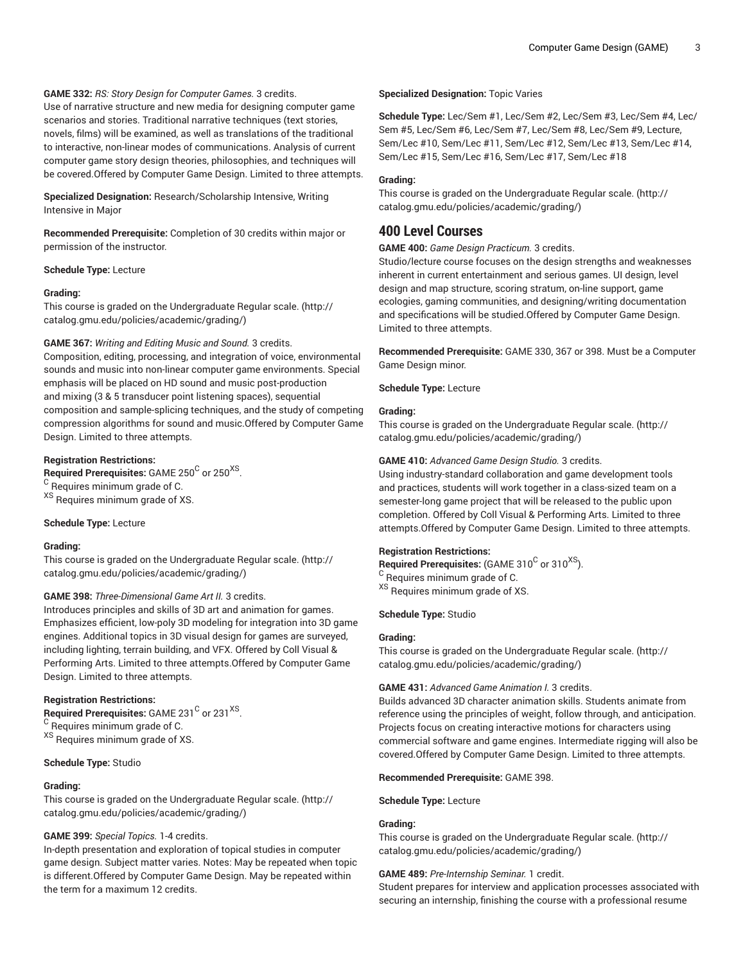# **GAME 332:** *RS: Story Design for Computer Games.* 3 credits.

Use of narrative structure and new media for designing computer game scenarios and stories. Traditional narrative techniques (text stories, novels, films) will be examined, as well as translations of the traditional to interactive, non-linear modes of communications. Analysis of current computer game story design theories, philosophies, and techniques will be covered.Offered by Computer Game Design. Limited to three attempts.

**Specialized Designation:** Research/Scholarship Intensive, Writing Intensive in Major

**Recommended Prerequisite:** Completion of 30 credits within major or permission of the instructor.

#### **Schedule Type:** Lecture

# **Grading:**

This course is graded on the [Undergraduate](http://catalog.gmu.edu/policies/academic/grading/) Regular scale. ([http://](http://catalog.gmu.edu/policies/academic/grading/) [catalog.gmu.edu/policies/academic/grading/\)](http://catalog.gmu.edu/policies/academic/grading/)

# **GAME 367:** *Writing and Editing Music and Sound.* 3 credits.

Composition, editing, processing, and integration of voice, environmental sounds and music into non-linear computer game environments. Special emphasis will be placed on HD sound and music post-production and mixing (3 & 5 transducer point listening spaces), sequential composition and sample-splicing techniques, and the study of competing compression algorithms for sound and music.Offered by Computer Game Design. Limited to three attempts.

# **Registration Restrictions:**

 $\mathsf{\mathsf{Required\ Pre}}$  recequisites: <code>GAME</code> 250 $^\mathsf{C}$  or 250 $^\mathsf{XS}$  .

<sup>C</sup> Requires minimum grade of C.

XS Requires minimum grade of XS.

#### **Schedule Type:** Lecture

# **Grading:**

This course is graded on the [Undergraduate](http://catalog.gmu.edu/policies/academic/grading/) Regular scale. ([http://](http://catalog.gmu.edu/policies/academic/grading/) [catalog.gmu.edu/policies/academic/grading/\)](http://catalog.gmu.edu/policies/academic/grading/)

#### **GAME 398:** *Three-Dimensional Game Art II.* 3 credits.

Introduces principles and skills of 3D art and animation for games. Emphasizes efficient, low-poly 3D modeling for integration into 3D game engines. Additional topics in 3D visual design for games are surveyed, including lighting, terrain building, and VFX. Offered by Coll Visual & Performing Arts. Limited to three attempts.Offered by Computer Game Design. Limited to three attempts.

#### **Registration Restrictions:**

Required Prerequisites: GAME 231<sup>C</sup> or 231<sup>XS</sup>. <sup>C</sup> Requires minimum grade of C.

XS Requires minimum grade of XS.

# **Schedule Type:** Studio

#### **Grading:**

This course is graded on the [Undergraduate](http://catalog.gmu.edu/policies/academic/grading/) Regular scale. ([http://](http://catalog.gmu.edu/policies/academic/grading/) [catalog.gmu.edu/policies/academic/grading/\)](http://catalog.gmu.edu/policies/academic/grading/)

#### **GAME 399:** *Special Topics.* 1-4 credits.

In-depth presentation and exploration of topical studies in computer game design. Subject matter varies. Notes: May be repeated when topic is different.Offered by Computer Game Design. May be repeated within the term for a maximum 12 credits.

#### **Specialized Designation:** Topic Varies

**Schedule Type:** Lec/Sem #1, Lec/Sem #2, Lec/Sem #3, Lec/Sem #4, Lec/ Sem #5, Lec/Sem #6, Lec/Sem #7, Lec/Sem #8, Lec/Sem #9, Lecture, Sem/Lec #10, Sem/Lec #11, Sem/Lec #12, Sem/Lec #13, Sem/Lec #14, Sem/Lec #15, Sem/Lec #16, Sem/Lec #17, Sem/Lec #18

#### **Grading:**

This course is graded on the [Undergraduate](http://catalog.gmu.edu/policies/academic/grading/) Regular scale. ([http://](http://catalog.gmu.edu/policies/academic/grading/) [catalog.gmu.edu/policies/academic/grading/](http://catalog.gmu.edu/policies/academic/grading/))

# **400 Level Courses**

### **GAME 400:** *Game Design Practicum.* 3 credits.

Studio/lecture course focuses on the design strengths and weaknesses inherent in current entertainment and serious games. UI design, level design and map structure, scoring stratum, on-line support, game ecologies, gaming communities, and designing/writing documentation and specifications will be studied.Offered by Computer Game Design. Limited to three attempts.

**Recommended Prerequisite:** GAME 330, 367 or 398. Must be a Computer Game Design minor.

#### **Schedule Type:** Lecture

#### **Grading:**

This course is graded on the [Undergraduate](http://catalog.gmu.edu/policies/academic/grading/) Regular scale. ([http://](http://catalog.gmu.edu/policies/academic/grading/) [catalog.gmu.edu/policies/academic/grading/](http://catalog.gmu.edu/policies/academic/grading/))

#### **GAME 410:** *Advanced Game Design Studio.* 3 credits.

Using industry-standard collaboration and game development tools and practices, students will work together in a class-sized team on a semester-long game project that will be released to the public upon completion. Offered by Coll Visual & Performing Arts. Limited to three attempts.Offered by Computer Game Design. Limited to three attempts.

#### **Registration Restrictions:**

 $\mathsf{\mathsf{Required\ Prerequires}}$  (GAME 310 $^{\mathsf{C}}$  or 310 $^{\mathsf{XS}}$ ).

<sup>C</sup> Requires minimum grade of C.

XS Requires minimum grade of XS.

# **Schedule Type:** Studio

#### **Grading:**

This course is graded on the [Undergraduate](http://catalog.gmu.edu/policies/academic/grading/) Regular scale. ([http://](http://catalog.gmu.edu/policies/academic/grading/) [catalog.gmu.edu/policies/academic/grading/](http://catalog.gmu.edu/policies/academic/grading/))

# **GAME 431:** *Advanced Game Animation I.* 3 credits.

Builds advanced 3D character animation skills. Students animate from reference using the principles of weight, follow through, and anticipation. Projects focus on creating interactive motions for characters using commercial software and game engines. Intermediate rigging will also be covered.Offered by Computer Game Design. Limited to three attempts.

#### **Recommended Prerequisite:** GAME 398.

**Schedule Type:** Lecture

#### **Grading:**

This course is graded on the [Undergraduate](http://catalog.gmu.edu/policies/academic/grading/) Regular scale. ([http://](http://catalog.gmu.edu/policies/academic/grading/) [catalog.gmu.edu/policies/academic/grading/](http://catalog.gmu.edu/policies/academic/grading/))

#### **GAME 489:** *Pre-Internship Seminar.* 1 credit.

Student prepares for interview and application processes associated with securing an internship, finishing the course with a professional resume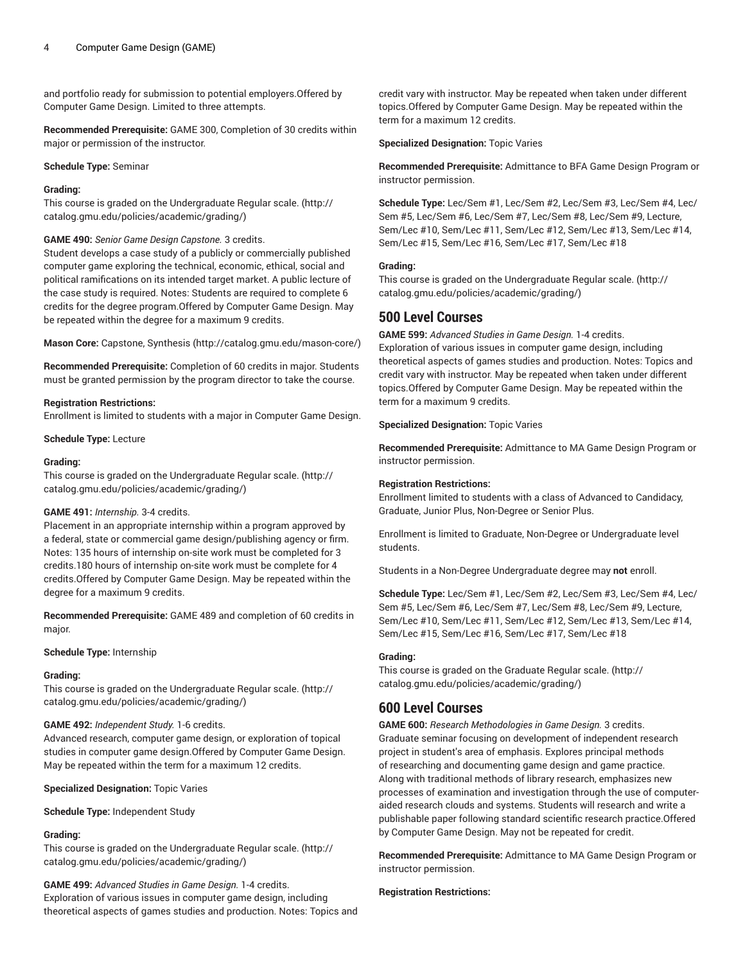and portfolio ready for submission to potential employers.Offered by Computer Game Design. Limited to three attempts.

**Recommended Prerequisite:** GAME 300, Completion of 30 credits within major or permission of the instructor.

**Schedule Type:** Seminar

### **Grading:**

This course is graded on the [Undergraduate](http://catalog.gmu.edu/policies/academic/grading/) Regular scale. ([http://](http://catalog.gmu.edu/policies/academic/grading/) [catalog.gmu.edu/policies/academic/grading/\)](http://catalog.gmu.edu/policies/academic/grading/)

# **GAME 490:** *Senior Game Design Capstone.* 3 credits.

Student develops a case study of a publicly or commercially published computer game exploring the technical, economic, ethical, social and political ramifications on its intended target market. A public lecture of the case study is required. Notes: Students are required to complete 6 credits for the degree program.Offered by Computer Game Design. May be repeated within the degree for a maximum 9 credits.

**Mason Core:** [Capstone, Synthesis \(http://catalog.gmu.edu/mason-core/](http://catalog.gmu.edu/mason-core/))

**Recommended Prerequisite:** Completion of 60 credits in major. Students must be granted permission by the program director to take the course.

#### **Registration Restrictions:**

Enrollment is limited to students with a major in Computer Game Design.

**Schedule Type:** Lecture

#### **Grading:**

This course is graded on the [Undergraduate](http://catalog.gmu.edu/policies/academic/grading/) Regular scale. ([http://](http://catalog.gmu.edu/policies/academic/grading/) [catalog.gmu.edu/policies/academic/grading/\)](http://catalog.gmu.edu/policies/academic/grading/)

#### **GAME 491:** *Internship.* 3-4 credits.

Placement in an appropriate internship within a program approved by a federal, state or commercial game design/publishing agency or firm. Notes: 135 hours of internship on-site work must be completed for 3 credits.180 hours of internship on-site work must be complete for 4 credits.Offered by Computer Game Design. May be repeated within the degree for a maximum 9 credits.

**Recommended Prerequisite:** GAME 489 and completion of 60 credits in major.

#### **Schedule Type:** Internship

# **Grading:**

This course is graded on the [Undergraduate](http://catalog.gmu.edu/policies/academic/grading/) Regular scale. ([http://](http://catalog.gmu.edu/policies/academic/grading/) [catalog.gmu.edu/policies/academic/grading/\)](http://catalog.gmu.edu/policies/academic/grading/)

# **GAME 492:** *Independent Study.* 1-6 credits.

Advanced research, computer game design, or exploration of topical studies in computer game design.Offered by Computer Game Design. May be repeated within the term for a maximum 12 credits.

**Specialized Designation:** Topic Varies

**Schedule Type:** Independent Study

# **Grading:**

This course is graded on the [Undergraduate](http://catalog.gmu.edu/policies/academic/grading/) Regular scale. ([http://](http://catalog.gmu.edu/policies/academic/grading/) [catalog.gmu.edu/policies/academic/grading/\)](http://catalog.gmu.edu/policies/academic/grading/)

**GAME 499:** *Advanced Studies in Game Design.* 1-4 credits. Exploration of various issues in computer game design, including theoretical aspects of games studies and production. Notes: Topics and

credit vary with instructor. May be repeated when taken under different topics.Offered by Computer Game Design. May be repeated within the term for a maximum 12 credits.

#### **Specialized Designation:** Topic Varies

**Recommended Prerequisite:** Admittance to BFA Game Design Program or instructor permission.

**Schedule Type:** Lec/Sem #1, Lec/Sem #2, Lec/Sem #3, Lec/Sem #4, Lec/ Sem #5, Lec/Sem #6, Lec/Sem #7, Lec/Sem #8, Lec/Sem #9, Lecture, Sem/Lec #10, Sem/Lec #11, Sem/Lec #12, Sem/Lec #13, Sem/Lec #14, Sem/Lec #15, Sem/Lec #16, Sem/Lec #17, Sem/Lec #18

# **Grading:**

This course is graded on the [Undergraduate](http://catalog.gmu.edu/policies/academic/grading/) Regular scale. ([http://](http://catalog.gmu.edu/policies/academic/grading/) [catalog.gmu.edu/policies/academic/grading/](http://catalog.gmu.edu/policies/academic/grading/))

# **500 Level Courses**

**GAME 599:** *Advanced Studies in Game Design.* 1-4 credits.

Exploration of various issues in computer game design, including theoretical aspects of games studies and production. Notes: Topics and credit vary with instructor. May be repeated when taken under different topics.Offered by Computer Game Design. May be repeated within the term for a maximum 9 credits.

#### **Specialized Designation:** Topic Varies

**Recommended Prerequisite:** Admittance to MA Game Design Program or instructor permission.

#### **Registration Restrictions:**

Enrollment limited to students with a class of Advanced to Candidacy, Graduate, Junior Plus, Non-Degree or Senior Plus.

Enrollment is limited to Graduate, Non-Degree or Undergraduate level students.

Students in a Non-Degree Undergraduate degree may **not** enroll.

**Schedule Type:** Lec/Sem #1, Lec/Sem #2, Lec/Sem #3, Lec/Sem #4, Lec/ Sem #5, Lec/Sem #6, Lec/Sem #7, Lec/Sem #8, Lec/Sem #9, Lecture, Sem/Lec #10, Sem/Lec #11, Sem/Lec #12, Sem/Lec #13, Sem/Lec #14, Sem/Lec #15, Sem/Lec #16, Sem/Lec #17, Sem/Lec #18

# **Grading:**

This course is graded on the [Graduate Regular scale.](http://catalog.gmu.edu/policies/academic/grading/) ([http://](http://catalog.gmu.edu/policies/academic/grading/) [catalog.gmu.edu/policies/academic/grading/](http://catalog.gmu.edu/policies/academic/grading/))

# **600 Level Courses**

**GAME 600:** *Research Methodologies in Game Design.* 3 credits. Graduate seminar focusing on development of independent research project in student's area of emphasis. Explores principal methods of researching and documenting game design and game practice. Along with traditional methods of library research, emphasizes new processes of examination and investigation through the use of computeraided research clouds and systems. Students will research and write a publishable paper following standard scientific research practice.Offered by Computer Game Design. May not be repeated for credit.

**Recommended Prerequisite:** Admittance to MA Game Design Program or instructor permission.

#### **Registration Restrictions:**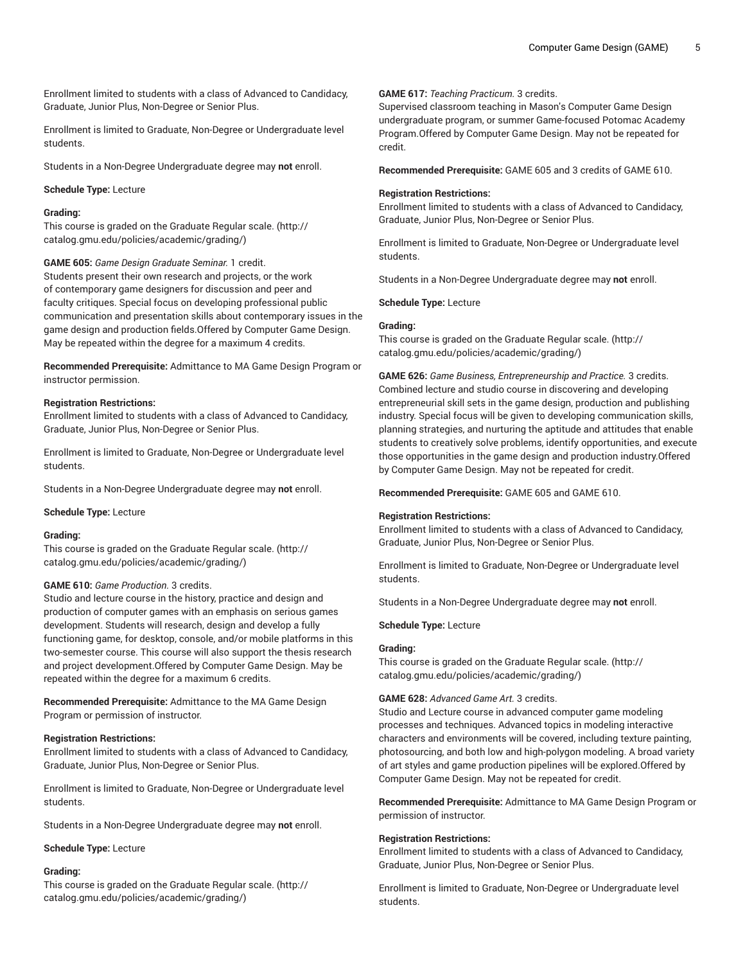Enrollment limited to students with a class of Advanced to Candidacy, Graduate, Junior Plus, Non-Degree or Senior Plus.

Enrollment is limited to Graduate, Non-Degree or Undergraduate level students.

Students in a Non-Degree Undergraduate degree may **not** enroll.

#### **Schedule Type:** Lecture

# **Grading:**

This course is graded on the [Graduate Regular scale.](http://catalog.gmu.edu/policies/academic/grading/) [\(http://](http://catalog.gmu.edu/policies/academic/grading/) [catalog.gmu.edu/policies/academic/grading/\)](http://catalog.gmu.edu/policies/academic/grading/)

**GAME 605:** *Game Design Graduate Seminar.* 1 credit.

Students present their own research and projects, or the work of contemporary game designers for discussion and peer and faculty critiques. Special focus on developing professional public communication and presentation skills about contemporary issues in the game design and production fields.Offered by Computer Game Design. May be repeated within the degree for a maximum 4 credits.

**Recommended Prerequisite:** Admittance to MA Game Design Program or instructor permission.

#### **Registration Restrictions:**

Enrollment limited to students with a class of Advanced to Candidacy, Graduate, Junior Plus, Non-Degree or Senior Plus.

Enrollment is limited to Graduate, Non-Degree or Undergraduate level students.

Students in a Non-Degree Undergraduate degree may **not** enroll.

#### **Schedule Type:** Lecture

#### **Grading:**

This course is graded on the [Graduate Regular scale.](http://catalog.gmu.edu/policies/academic/grading/) [\(http://](http://catalog.gmu.edu/policies/academic/grading/) [catalog.gmu.edu/policies/academic/grading/\)](http://catalog.gmu.edu/policies/academic/grading/)

#### **GAME 610:** *Game Production.* 3 credits.

Studio and lecture course in the history, practice and design and production of computer games with an emphasis on serious games development. Students will research, design and develop a fully functioning game, for desktop, console, and/or mobile platforms in this two-semester course. This course will also support the thesis research and project development.Offered by Computer Game Design. May be repeated within the degree for a maximum 6 credits.

**Recommended Prerequisite:** Admittance to the MA Game Design Program or permission of instructor.

#### **Registration Restrictions:**

Enrollment limited to students with a class of Advanced to Candidacy, Graduate, Junior Plus, Non-Degree or Senior Plus.

Enrollment is limited to Graduate, Non-Degree or Undergraduate level students.

Students in a Non-Degree Undergraduate degree may **not** enroll.

#### **Schedule Type:** Lecture

#### **Grading:**

This course is graded on the [Graduate Regular scale.](http://catalog.gmu.edu/policies/academic/grading/) [\(http://](http://catalog.gmu.edu/policies/academic/grading/) [catalog.gmu.edu/policies/academic/grading/\)](http://catalog.gmu.edu/policies/academic/grading/)

**GAME 617:** *Teaching Practicum.* 3 credits.

Supervised classroom teaching in Mason's Computer Game Design undergraduate program, or summer Game-focused Potomac Academy Program.Offered by Computer Game Design. May not be repeated for credit.

**Recommended Prerequisite:** GAME 605 and 3 credits of GAME 610.

# **Registration Restrictions:**

Enrollment limited to students with a class of Advanced to Candidacy, Graduate, Junior Plus, Non-Degree or Senior Plus.

Enrollment is limited to Graduate, Non-Degree or Undergraduate level students.

Students in a Non-Degree Undergraduate degree may **not** enroll.

**Schedule Type:** Lecture

#### **Grading:**

This course is graded on the [Graduate Regular scale.](http://catalog.gmu.edu/policies/academic/grading/) ([http://](http://catalog.gmu.edu/policies/academic/grading/) [catalog.gmu.edu/policies/academic/grading/](http://catalog.gmu.edu/policies/academic/grading/))

**GAME 626:** *Game Business, Entrepreneurship and Practice.* 3 credits. Combined lecture and studio course in discovering and developing entrepreneurial skill sets in the game design, production and publishing industry. Special focus will be given to developing communication skills, planning strategies, and nurturing the aptitude and attitudes that enable students to creatively solve problems, identify opportunities, and execute those opportunities in the game design and production industry.Offered by Computer Game Design. May not be repeated for credit.

**Recommended Prerequisite:** GAME 605 and GAME 610.

#### **Registration Restrictions:**

Enrollment limited to students with a class of Advanced to Candidacy, Graduate, Junior Plus, Non-Degree or Senior Plus.

Enrollment is limited to Graduate, Non-Degree or Undergraduate level students.

Students in a Non-Degree Undergraduate degree may **not** enroll.

**Schedule Type:** Lecture

# **Grading:**

This course is graded on the [Graduate Regular scale.](http://catalog.gmu.edu/policies/academic/grading/) ([http://](http://catalog.gmu.edu/policies/academic/grading/) [catalog.gmu.edu/policies/academic/grading/](http://catalog.gmu.edu/policies/academic/grading/))

# **GAME 628:** *Advanced Game Art.* 3 credits.

Studio and Lecture course in advanced computer game modeling processes and techniques. Advanced topics in modeling interactive characters and environments will be covered, including texture painting, photosourcing, and both low and high-polygon modeling. A broad variety of art styles and game production pipelines will be explored.Offered by Computer Game Design. May not be repeated for credit.

**Recommended Prerequisite:** Admittance to MA Game Design Program or permission of instructor.

#### **Registration Restrictions:**

Enrollment limited to students with a class of Advanced to Candidacy, Graduate, Junior Plus, Non-Degree or Senior Plus.

Enrollment is limited to Graduate, Non-Degree or Undergraduate level students.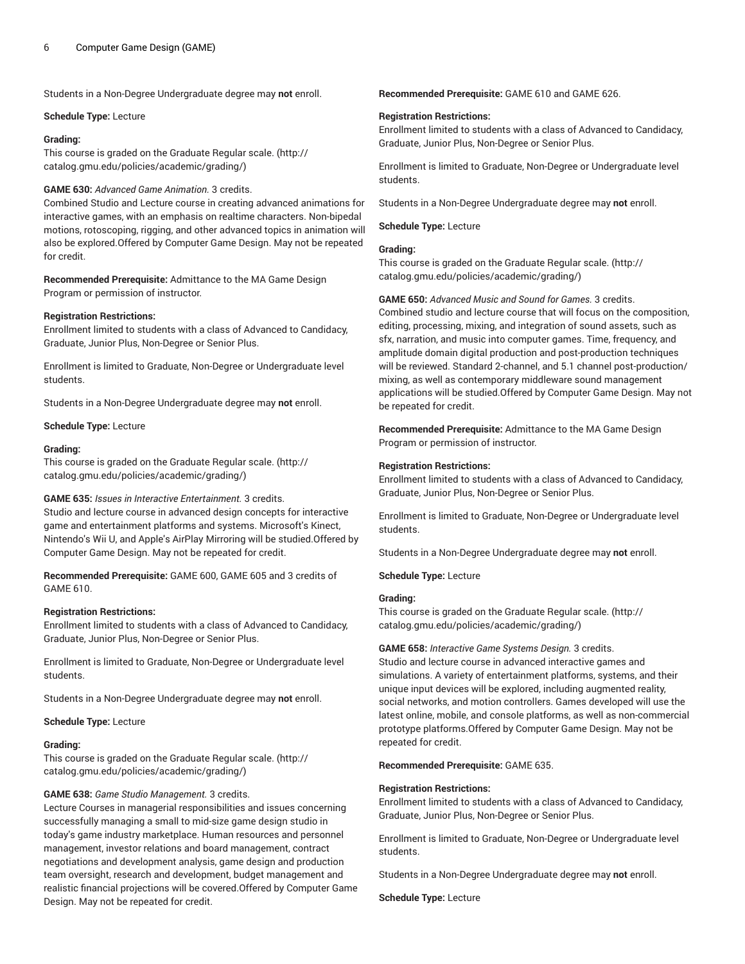Students in a Non-Degree Undergraduate degree may **not** enroll.

#### **Schedule Type:** Lecture

#### **Grading:**

This course is graded on the [Graduate Regular scale.](http://catalog.gmu.edu/policies/academic/grading/) [\(http://](http://catalog.gmu.edu/policies/academic/grading/) [catalog.gmu.edu/policies/academic/grading/\)](http://catalog.gmu.edu/policies/academic/grading/)

# **GAME 630:** *Advanced Game Animation.* 3 credits.

Combined Studio and Lecture course in creating advanced animations for interactive games, with an emphasis on realtime characters. Non-bipedal motions, rotoscoping, rigging, and other advanced topics in animation will also be explored.Offered by Computer Game Design. May not be repeated for credit.

**Recommended Prerequisite:** Admittance to the MA Game Design Program or permission of instructor.

#### **Registration Restrictions:**

Enrollment limited to students with a class of Advanced to Candidacy, Graduate, Junior Plus, Non-Degree or Senior Plus.

Enrollment is limited to Graduate, Non-Degree or Undergraduate level students.

Students in a Non-Degree Undergraduate degree may **not** enroll.

#### **Schedule Type:** Lecture

#### **Grading:**

This course is graded on the [Graduate Regular scale.](http://catalog.gmu.edu/policies/academic/grading/) [\(http://](http://catalog.gmu.edu/policies/academic/grading/) [catalog.gmu.edu/policies/academic/grading/\)](http://catalog.gmu.edu/policies/academic/grading/)

#### **GAME 635:** *Issues in Interactive Entertainment.* 3 credits.

Studio and lecture course in advanced design concepts for interactive game and entertainment platforms and systems. Microsoft's Kinect, Nintendo's Wii U, and Apple's AirPlay Mirroring will be studied.Offered by Computer Game Design. May not be repeated for credit.

**Recommended Prerequisite:** GAME 600, GAME 605 and 3 credits of GAME 610.

#### **Registration Restrictions:**

Enrollment limited to students with a class of Advanced to Candidacy, Graduate, Junior Plus, Non-Degree or Senior Plus.

Enrollment is limited to Graduate, Non-Degree or Undergraduate level students.

Students in a Non-Degree Undergraduate degree may **not** enroll.

#### **Schedule Type:** Lecture

#### **Grading:**

This course is graded on the [Graduate Regular scale.](http://catalog.gmu.edu/policies/academic/grading/) [\(http://](http://catalog.gmu.edu/policies/academic/grading/) [catalog.gmu.edu/policies/academic/grading/\)](http://catalog.gmu.edu/policies/academic/grading/)

#### **GAME 638:** *Game Studio Management.* 3 credits.

Lecture Courses in managerial responsibilities and issues concerning successfully managing a small to mid-size game design studio in today's game industry marketplace. Human resources and personnel management, investor relations and board management, contract negotiations and development analysis, game design and production team oversight, research and development, budget management and realistic financial projections will be covered.Offered by Computer Game Design. May not be repeated for credit.

#### **Recommended Prerequisite:** GAME 610 and GAME 626.

#### **Registration Restrictions:**

Enrollment limited to students with a class of Advanced to Candidacy, Graduate, Junior Plus, Non-Degree or Senior Plus.

Enrollment is limited to Graduate, Non-Degree or Undergraduate level students.

Students in a Non-Degree Undergraduate degree may **not** enroll.

#### **Schedule Type:** Lecture

#### **Grading:**

This course is graded on the [Graduate Regular scale.](http://catalog.gmu.edu/policies/academic/grading/) ([http://](http://catalog.gmu.edu/policies/academic/grading/) [catalog.gmu.edu/policies/academic/grading/](http://catalog.gmu.edu/policies/academic/grading/))

**GAME 650:** *Advanced Music and Sound for Games.* 3 credits. Combined studio and lecture course that will focus on the composition, editing, processing, mixing, and integration of sound assets, such as sfx, narration, and music into computer games. Time, frequency, and amplitude domain digital production and post-production techniques will be reviewed. Standard 2-channel, and 5.1 channel post-production/ mixing, as well as contemporary middleware sound management applications will be studied.Offered by Computer Game Design. May not be repeated for credit.

**Recommended Prerequisite:** Admittance to the MA Game Design Program or permission of instructor.

#### **Registration Restrictions:**

Enrollment limited to students with a class of Advanced to Candidacy, Graduate, Junior Plus, Non-Degree or Senior Plus.

Enrollment is limited to Graduate, Non-Degree or Undergraduate level students.

Students in a Non-Degree Undergraduate degree may **not** enroll.

**Schedule Type:** Lecture

#### **Grading:**

This course is graded on the [Graduate Regular scale.](http://catalog.gmu.edu/policies/academic/grading/) ([http://](http://catalog.gmu.edu/policies/academic/grading/) [catalog.gmu.edu/policies/academic/grading/](http://catalog.gmu.edu/policies/academic/grading/))

#### **GAME 658:** *Interactive Game Systems Design.* 3 credits.

Studio and lecture course in advanced interactive games and simulations. A variety of entertainment platforms, systems, and their unique input devices will be explored, including augmented reality, social networks, and motion controllers. Games developed will use the latest online, mobile, and console platforms, as well as non-commercial prototype platforms.Offered by Computer Game Design. May not be repeated for credit.

**Recommended Prerequisite:** GAME 635.

#### **Registration Restrictions:**

Enrollment limited to students with a class of Advanced to Candidacy, Graduate, Junior Plus, Non-Degree or Senior Plus.

Enrollment is limited to Graduate, Non-Degree or Undergraduate level students.

Students in a Non-Degree Undergraduate degree may **not** enroll.

**Schedule Type:** Lecture